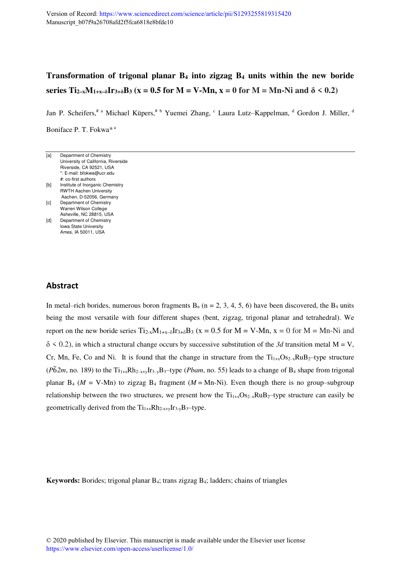# **Transformation of trigonal planar B4 into zigzag B4 units within the new boride series Ti**<sub>2–x</sub>**M**<sub>1+x–</sub> $\delta$ **Ir**<sub>3+</sub> $\delta$ **B**<sub>3</sub>**(x = 0.5 for M = V-Mn, x = 0 for M = Mn-Ni and**  $\delta$  **< 0.2)**

Jan P. Scheifers,<sup># a</sup> Michael Küpers,<sup># b</sup> Yuemei Zhang, <sup>c</sup> Laura Lutz-Kappelman, <sup>d</sup> Gordon J. Miller, <sup>d</sup> Boniface P. T. Fokwa<sup>\*a</sup>

| [a] | Department of Chemistry             |
|-----|-------------------------------------|
|     | University of California, Riverside |
|     | Riverside, CA 92521, USA            |
|     | *: E-mail: bfokwa@ucr.edu           |
|     | #: co-first authors                 |
| [b] | Institute of Inorganic Chemistry    |
|     | <b>RWTH Aachen University</b>       |
|     | Aachen, D-52056, Germany            |
| [c] | Department of Chemistry             |
|     | Warren Wilson College               |
|     | Asheville, NC 28815, USA            |
| [d] | Department of Chemistry             |
|     | <b>Iowa State University</b>        |

Ames, IA 50011, USA

## **Abstract**

In metal–rich borides, numerous boron fragments  $B_n$  (n = 2, 3, 4, 5, 6) have been discovered, the  $B_4$  units being the most versatile with four different shapes (bent, zigzag, trigonal planar and tetrahedral). We report on the new boride series  $Ti_{2-x}M_{1+x-δ}Ir_{3+\delta}B_3$  (x = 0.5 for M = V-Mn, x = 0 for M = Mn-Ni and  $\delta$  < 0.2), in which a structural change occurs by successive substitution of the 3d transition metal M = V, Cr, Mn, Fe, Co and Ni. It is found that the change in structure from the  $Ti_{1+x}Os_{2-x}RuB_2$ -type structure  $(P\bar{6}2m,$  no. 189) to the Ti<sub>1+x</sub>Rh<sub>2-x+y</sub>Ir<sub>3-y</sub>B<sub>3</sub>-type (*Pbam*, no. 55) leads to a change of B<sub>4</sub> shape from trigonal planar B<sub>4</sub> ( $M = V$ -Mn) to zigzag B<sub>4</sub> fragment ( $M = Mn-Ni$ ). Even though there is no group–subgroup relationship between the two structures, we present how the  $Ti_{1+x}Os_{2-x}RuB_2$ —type structure can easily be geometrically derived from the  $Ti_{1+x}Rh_{2-x+y}Ir_{3-y}B_3$ -type.

**Keywords:** Borides; trigonal planar B4; trans zigzag B4; ladders; chains of triangles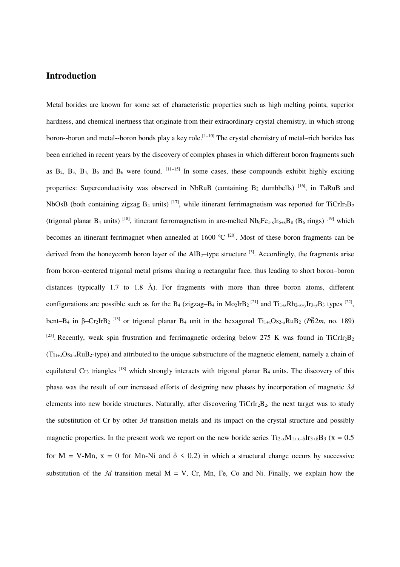### **Introduction**

Metal borides are known for some set of characteristic properties such as high melting points, superior hardness, and chemical inertness that originate from their extraordinary crystal chemistry, in which strong boron--boron and metal--boron bonds play a key role.<sup>[1-10]</sup> The crystal chemistry of metal-rich borides has been enriched in recent years by the discovery of complex phases in which different boron fragments such as  $B_2$ ,  $B_3$ ,  $B_4$ ,  $B_5$  and  $B_6$  were found.  $\left[11-15\right]$  In some cases, these compounds exhibit highly exciting properties: Superconductivity was observed in NbRuB (containing  $B_2$  dumbbells) [16], in TaRuB and NbOsB (both containing zigzag  $B_4$  units)  $^{[17]}$ , while itinerant ferrimagnetism was reported for TiCrIr<sub>2</sub>B<sub>2</sub> (trigonal planar B<sub>4</sub> units) <sup>[18]</sup>, itinerant ferromagnetism in arc-melted  $Nb_6Fe_{1-x}Ir_{6+x}B_8$  (B<sub>6</sub> rings) <sup>[19]</sup> which becomes an itinerant ferrimagnet when annealed at 1600  $^{\circ}C$  <sup>[20]</sup>. Most of these boron fragments can be derived from the honeycomb boron layer of the  $\text{AlB}_2$ -type structure <sup>[3]</sup>. Accordingly, the fragments arise from boron–centered trigonal metal prisms sharing a rectangular face, thus leading to short boron–boron distances (typically 1.7 to 1.8 Å). For fragments with more than three boron atoms, different configurations are possible such as for the B<sub>4</sub> (zigzag–B<sub>4</sub> in Mo<sub>2</sub>IrB<sub>2</sub><sup>[21]</sup> and Ti<sub>1+x</sub>Rh<sub>2-x+y</sub>Ir<sub>3-y</sub>B<sub>3</sub> types<sup>[22]</sup>, bent–B<sub>4</sub> in  $\beta$ –Cr<sub>2</sub>IrB<sub>2</sub><sup>[13]</sup> or trigonal planar B<sub>4</sub> unit in the hexagonal Ti<sub>1+x</sub>Os<sub>2-x</sub>RuB<sub>2</sub> ( $\overline{P62m}$ , no. 189) <sup>[23]</sup>. Recently, weak spin frustration and ferrimagnetic ordering below 275 K was found in TiCrIr<sub>2</sub>B<sub>2</sub>  $(T_{1+x}O_{S_2-x}RuB_2-type)$  and attributed to the unique substructure of the magnetic element, namely a chain of equilateral Cr<sub>3</sub> triangles  $^{[18]}$  which strongly interacts with trigonal planar B<sub>4</sub> units. The discovery of this phase was the result of our increased efforts of designing new phases by incorporation of magnetic *3d* elements into new boride structures. Naturally, after discovering  $TicrIr_2B_2$ , the next target was to study the substitution of Cr by other *3d* transition metals and its impact on the crystal structure and possibly magnetic properties. In the present work we report on the new boride series  $Ti_{2-x}M_{1+x-δ}Ir_{3+\delta}B_3$  (x = 0.5 for  $M = V-Mn$ ,  $x = 0$  for Mn-Ni and  $\delta \le 0.2$ ) in which a structural change occurs by successive substitution of the  $3d$  transition metal  $M = V$ , Cr, Mn, Fe, Co and Ni. Finally, we explain how the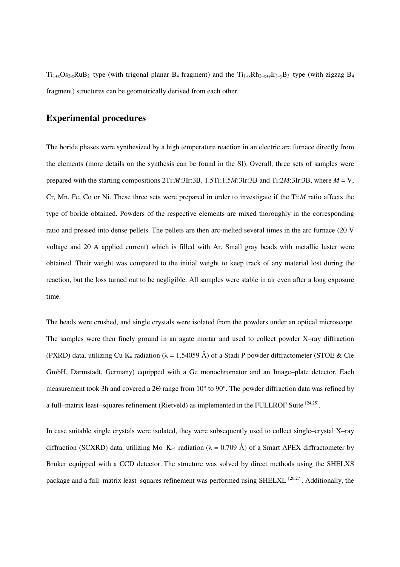$Ti_{1+x}Os_{2-x}RuB_2$ -type (with trigonal planar B<sub>4</sub> fragment) and the  $Ti_{1+x}Rh_{2-x+y}Ir_{3-y}B_3$ -type (with zigzag B<sub>4</sub> fragment) structures can be geometrically derived from each other.

### **Experimental procedures**

The boride phases were synthesized by a high temperature reaction in an electric arc furnace directly from the elements (more details on the synthesis can be found in the SI). Overall, three sets of samples were prepared with the starting compositions 2Ti:*M*:3Ir:3B, 1.5Ti:1.5*M*:3Ir:3B and Ti:2*M*:3Ir:3B, where *M* = V, Cr, Mn, Fe, Co or Ni. These three sets were prepared in order to investigate if the Ti:*M* ratio affects the type of boride obtained. Powders of the respective elements are mixed thoroughly in the corresponding ratio and pressed into dense pellets. The pellets are then arc-melted several times in the arc furnace (20 V voltage and 20 A applied current) which is filled with Ar. Small gray beads with metallic luster were obtained. Their weight was compared to the initial weight to keep track of any material lost during the reaction, but the loss turned out to be negligible. All samples were stable in air even after a long exposure time.

The beads were crushed, and single crystals were isolated from the powders under an optical microscope. The samples were then finely ground in an agate mortar and used to collect powder X-ray diffraction (PXRD) data, utilizing Cu K<sub>α</sub> radiation ( $\lambda = 1.54059$  Å) of a Stadi P powder diffractometer (STOE & Cie GmbH, Darmstadt, Germany) equipped with a Ge monochromator and an Image-plate detector. Each measurement took 3h and covered a 2Θ range from 10° to 90°. The powder diffraction data was refined by a full–matrix least–squares refinement (Rietveld) as implemented in the FULLROF Suite <sup>[24,25]</sup>.

In case suitable single crystals were isolated, they were subsequently used to collect single-crystal X-ray diffraction (SCXRD) data, utilizing Mo–K<sub>α1</sub> radiation ( $\lambda = 0.709$  Å) of a Smart APEX diffractometer by Bruker equipped with a CCD detector. The structure was solved by direct methods using the SHELXS package and a full–matrix least–squares refinement was performed using SHELXL [26,27]. Additionally, the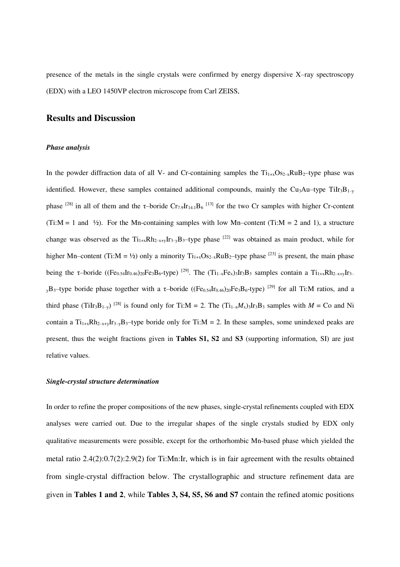presence of the metals in the single crystals were confirmed by energy dispersive  $X$ -ray spectroscopy (EDX) with a LEO 1450VP electron microscope from Carl ZEISS,

### **Results and Discussion**

#### *Phase analysis*

In the powder diffraction data of all V- and Cr-containing samples the  $Ti_{1+x}Os_{2-x}RuB_2$ -type phase was identified. However, these samples contained additional compounds, mainly the Cu<sub>3</sub>Au–type TiIr<sub>3</sub>B<sub>1-y</sub> phase <sup>[28]</sup> in all of them and the  $\tau$ -boride Cr<sub>7.9</sub>Ir<sub>14.1</sub>B<sub>6</sub><sup>[13]</sup> for the two Cr samples with higher Cr-content (Ti:M = 1 and  $\frac{1}{2}$ ). For the Mn-containing samples with low Mn-content (Ti:M = 2 and 1), a structure change was observed as the  $Ti_{1+x}Rh_{2-x+y}Ir_{3-y}B_3$ -type phase <sup>[22]</sup> was obtained as main product, while for higher Mn–content (Ti:M = ½) only a minority  $Ti_{1+x}Os_{2-x}RuB_2$ –type phase  $^{[23]}$  is present, the main phase being the  $\tau$ -boride ((Fe<sub>0.54</sub>Ir<sub>0.46</sub>)<sub>20</sub>Fe<sub>3</sub>B<sub>6</sub>-type)<sup>[29]</sup>. The (Ti<sub>1-x</sub>Fe<sub>x</sub>)<sub>3</sub>Ir<sub>3</sub>B<sub>3</sub> samples contain a Ti<sub>1+x</sub>Rh<sub>2-x+y</sub>Ir<sub>3-</sub>  $_{\rm v}$ B<sub>3</sub>–type boride phase together with a τ-boride ((Fe<sub>0.54</sub>Ir<sub>0.46</sub>)<sub>20</sub>Fe<sub>3</sub>B<sub>6</sub>-type)<sup>[29]</sup> for all Ti:M ratios, and a third phase (TiIr<sub>3</sub>B<sub>1-y</sub>)<sup>[28]</sup> is found only for Ti:M = 2. The (Ti<sub>1-x</sub>*M*<sub>x</sub>)<sub>3</sub>Ir<sub>3</sub>B<sub>3</sub> samples with *M* = Co and Ni contain a  $Ti_{1+x}Rh_{2-x+y}Ir_{3-y}B_3$ -type boride only for Ti:M = 2. In these samples, some unindexed peaks are present, thus the weight fractions given in **Tables S1, S2** and **S3** (supporting information, SI) are just relative values.

#### *Single-crystal structure determination*

In order to refine the proper compositions of the new phases, single-crystal refinements coupled with EDX analyses were carried out. Due to the irregular shapes of the single crystals studied by EDX only qualitative measurements were possible, except for the orthorhombic Mn-based phase which yielded the metal ratio 2.4(2):0.7(2):2.9(2) for Ti:Mn:Ir, which is in fair agreement with the results obtained from single-crystal diffraction below. The crystallographic and structure refinement data are given in **Tables 1 and 2**, while **Tables 3, S4, S5, S6 and S7** contain the refined atomic positions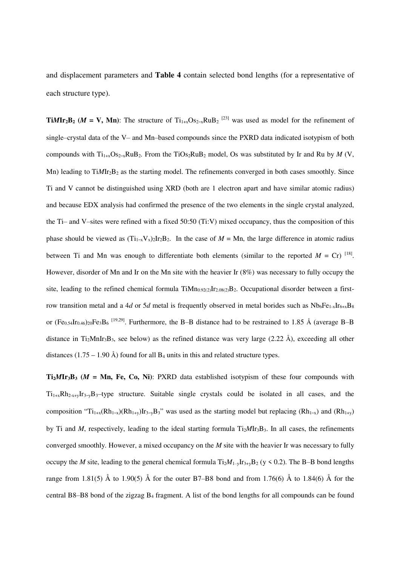and displacement parameters and **Table 4** contain selected bond lengths (for a representative of each structure type).

**Ti***M***Ir**<sub>2</sub>**B**<sub>2</sub> (*M* = **V**, **Mn**): The structure of Ti<sub>1+x</sub>Os<sub>2-x</sub>RuB<sub>2</sub><sup>[23]</sup> was used as model for the refinement of single–crystal data of the V– and Mn–based compounds since the PXRD data indicated isotypism of both compounds with  $Ti_{1+x}Os_{2-x}RuB_2$ . From the TiOs<sub>2</sub>RuB<sub>2</sub> model, Os was substituted by Ir and Ru by *M* (V, Mn) leading to TiMIr<sub>2</sub>B<sub>2</sub> as the starting model. The refinements converged in both cases smoothly. Since Ti and V cannot be distinguished using XRD (both are 1 electron apart and have similar atomic radius) and because EDX analysis had confirmed the presence of the two elements in the single crystal analyzed, the Ti– and V–sites were refined with a fixed 50:50 (Ti:V) mixed occupancy, thus the composition of this phase should be viewed as  $(Ti_{1-x}V_x)_2Ir_2B_2$ . In the case of  $M = Mn$ , the large difference in atomic radius between Ti and Mn was enough to differentiate both elements (similar to the reported  $M = Cr$ ) <sup>[18]</sup>. However, disorder of Mn and Ir on the Mn site with the heavier Ir (8%) was necessary to fully occupy the site, leading to the refined chemical formula  $TiMn_{0.92(2)}Ir_{2.08(2)}B_2$ . Occupational disorder between a firstrow transition metal and a 4*d* or 5*d* metal is frequently observed in metal borides such as  $Nb_6Fe_{1-x}Ir_{6+x}B_8$ or (Fe<sub>0.54</sub>Ir<sub>0.46</sub>)<sub>20</sub>Fe<sub>3</sub>B<sub>6</sub><sup>[19,29]</sup>. Furthermore, the B-B distance had to be restrained to 1.85 Å (average B-B distance in Ti<sub>2</sub>MnIr<sub>3</sub>B<sub>3</sub>, see below) as the refined distance was very large (2.22 Å), exceeding all other distances (1.75 – 1.90 Å) found for all  $B_4$  units in this and related structure types.

**Ti**<sub>2</sub>*M***Ir**<sub>3</sub>**B**<sub>3</sub> ( $M = Mn$ , Fe, Co, Ni): PXRD data established isotypism of these four compounds with  $Ti_{1+x}Rh_{2-x+y}Ir_{3-y}B_3$ -type structure. Suitable single crystals could be isolated in all cases, and the composition " $Ti_{1+x}(Rh_{1-x})(Rh_{1+y})Ir_{3-y}B_3$ " was used as the starting model but replacing  $(Rh_{1-x})$  and  $(Rh_{1+y})$ by Ti and *M*, respectively, leading to the ideal starting formula Ti<sub>2</sub>*MIr<sub>3</sub>B<sub>3</sub>*. In all cases, the refinements converged smoothly. However, a mixed occupancy on the *M* site with the heavier Ir was necessary to fully occupy the *M* site, leading to the general chemical formula  $Ti_2M_{1-y}Ir_{3+y}B_2$  (y < 0.2). The B–B bond lengths range from 1.81(5) Å to 1.90(5) Å for the outer B7–B8 bond and from 1.76(6) Å to 1.84(6) Å for the central B8–B8 bond of the zigzag  $B_4$  fragment. A list of the bond lengths for all compounds can be found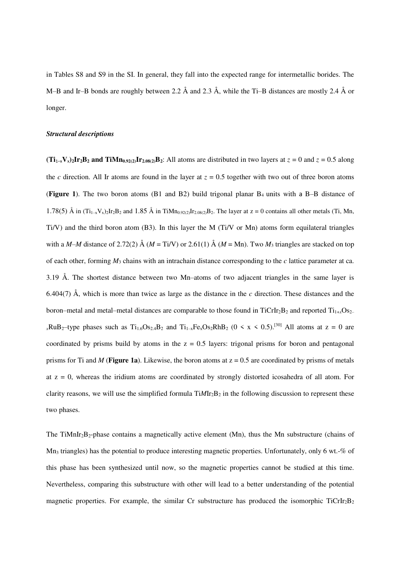in Tables S8 and S9 in the SI. In general, they fall into the expected range for intermetallic borides. The M–B and Ir–B bonds are roughly between 2.2  $\AA$  and 2.3  $\AA$ , while the Ti–B distances are mostly 2.4  $\AA$  or longer.

#### *Structural descriptions*

 $(Ti_{1-x}V_x)_2Ir_2B_2$  and  $TiMn_0,92(2)}Ir_{2,08(2)}B_2$ : All atoms are distributed in two layers at  $z = 0$  and  $z = 0.5$  along the *c* direction. All Ir atoms are found in the layer at  $z = 0.5$  together with two out of three boron atoms (**Figure 1**). The two boron atoms (B1 and B2) build trigonal planar B<sub>4</sub> units with a B–B distance of 1.78(5) Å in  $(Ti_{1-x}V_x)$ ,  $Ir_2B_2$  and 1.85 Å in TiMn<sub>0.92(2</sub>) $Ir_2_{08/2}B_2$ . The layer at  $z = 0$  contains all other metals (Ti, Mn, Ti/V) and the third boron atom (B3). In this layer the M (Ti/V or Mn) atoms form equilateral triangles with a *M–M* distance of 2.72(2) Å ( $M = Ti/V$ ) or 2.61(1) Å ( $M = Mn$ ). Two  $M_3$  triangles are stacked on top of each other, forming *M*3 chains with an intrachain distance corresponding to the *c* lattice parameter at ca. 3.19 Å. The shortest distance between two Mn–atoms of two adjacent triangles in the same layer is 6.404(7) Å, which is more than twice as large as the distance in the *c* direction. These distances and the boron—metal and metal—metal distances are comparable to those found in  $TicIr_2B_2$  and reported  $Ti_{1+r}Os_{2-r}$  $xRuB_2$ —type phases such as  $Ti_{1.6}Os_{2.4}B_2$  and  $Ti_{1-x}Fe_xOs_2RhB_2$  (0 < x < 0.5).<sup>[30]</sup> All atoms at z = 0 are coordinated by prisms build by atoms in the  $z = 0.5$  layers: trigonal prisms for boron and pentagonal prisms for Ti and *M* (**Figure 1a**). Likewise, the boron atoms at  $z = 0.5$  are coordinated by prisms of metals at  $z = 0$ , whereas the iridium atoms are coordinated by strongly distorted icosahedra of all atom. For clarity reasons, we will use the simplified formula TiMIr<sub>2</sub>B<sub>2</sub> in the following discussion to represent these two phases.

The TiMnIr<sub>2</sub>B<sub>2</sub>-phase contains a magnetically active element (Mn), thus the Mn substructure (chains of  $Mn<sub>3</sub>$  triangles) has the potential to produce interesting magnetic properties. Unfortunately, only 6 wt.-% of this phase has been synthesized until now, so the magnetic properties cannot be studied at this time. Nevertheless, comparing this substructure with other will lead to a better understanding of the potential magnetic properties. For example, the similar Cr substructure has produced the isomorphic  $TicrIr_2B_2$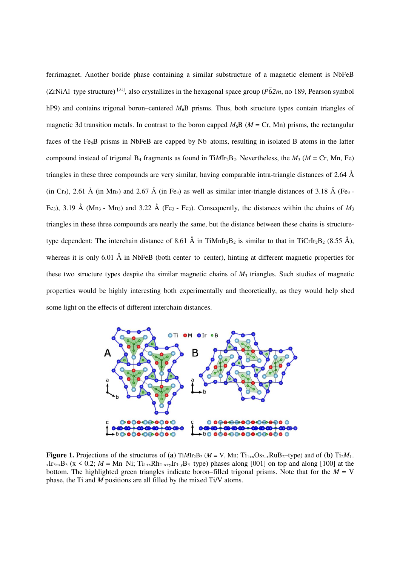ferrimagnet. Another boride phase containing a similar substructure of a magnetic element is NbFeB (ZrNiAl–type structure) <sup>[31]</sup>, also crystallizes in the hexagonal space group ( $\overline{P62m}$ , no 189, Pearson symbol hP9) and contains trigonal boron–centered *M*<sub>6</sub>B prisms. Thus, both structure types contain triangles of magnetic 3d transition metals. In contrast to the boron capped  $M_6B$  ( $M = Cr$ , Mn) prisms, the rectangular faces of the Fe<sub>6</sub>B prisms in NbFeB are capped by Nb–atoms, resulting in isolated B atoms in the latter compound instead of trigonal  $B_4$  fragments as found in TiMIr<sub>2</sub>B<sub>2</sub>. Nevertheless, the  $M_3$  ( $M = Cr$ , Mn, Fe) triangles in these three compounds are very similar, having comparable intra-triangle distances of 2.64  $\AA$ (in Cr<sub>3</sub>), 2.61 Å (in Mn<sub>3</sub>) and 2.67 Å (in Fe<sub>3</sub>) as well as similar inter-triangle distances of 3.18 Å (Fe<sub>3</sub> -Fe<sub>3</sub>), 3.19 Å (Mn<sub>3</sub> - Mn<sub>3</sub>) and 3.22 Å (Fe<sub>3</sub> - Fe<sub>3</sub>). Consequently, the distances within the chains of  $M_3$ triangles in these three compounds are nearly the same, but the distance between these chains is structuretype dependent: The interchain distance of 8.61 Å in TiMnIr<sub>2</sub>B<sub>2</sub> is similar to that in TiCrIr<sub>2</sub>B<sub>2</sub> (8.55 Å), whereas it is only 6.01  $\AA$  in NbFeB (both center–to–center), hinting at different magnetic properties for these two structure types despite the similar magnetic chains of  $M_3$  triangles. Such studies of magnetic properties would be highly interesting both experimentally and theoretically, as they would help shed some light on the effects of different interchain distances.



**Figure 1.** Projections of the structures of (a)  $\text{Ti}/M\text{Ir}_2\text{B}_2$  ( $M = V$ , Mn;  $\text{Ti}_{1+x}\text{Os}_{2-x}\text{RuB}_{2}$ –type) and of (b)  $\text{Ti}_2M_{1-x}$  $_{x}Ir_{3+x}B_3$  (x < 0.2; *M* = Mn–Ni; Ti<sub>1+x</sub>Rh<sub>2-x+y</sub>Ir<sub>3-y</sub>B<sub>3</sub>-type) phases along [001] on top and along [100] at the bottom. The highlighted green triangles indicate boron–filled trigonal prisms. Note that for the  $M = V$ phase, the Ti and *M* positions are all filled by the mixed Ti/V atoms.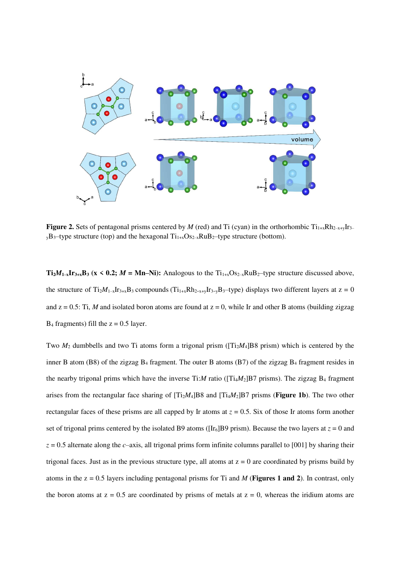

**Figure 2.** Sets of pentagonal prisms centered by *M* (red) and Ti (cyan) in the orthorhombic  $Ti_{1+x}Rh_{2-x+y}Ir_{3-x}$  $y$ B<sub>3</sub>—type structure (top) and the hexagonal  $Ti_{1+x}Os_{2-x}RuB_2$ —type structure (bottom).

**Ti**<sub>2</sub>*M*<sub>1</sub><sub>-x</sub>**Ir**<sub>3+x</sub>**B**<sub>3</sub> (**x** < **0.2**; *M* = Mn–Ni): Analogous to the Ti<sub>1+x</sub>O<sub>S2-x</sub>RuB<sub>2</sub>-type structure discussed above, the structure of  $Ti_2M_{1-x}Ir_{3+x}B_3$  compounds  $(Ti_{1+x}Rh_{2-x+y}Ir_{3-y}B_3$ -type) displays two different layers at  $z = 0$ and  $z = 0.5$ : Ti, *M* and isolated boron atoms are found at  $z = 0$ , while Ir and other B atoms (building zigzag  $B_4$  fragments) fill the  $z = 0.5$  layer.

Two  $M_2$  dumbbells and two Ti atoms form a trigonal prism ( $[Ti_2M_4]B8$  prism) which is centered by the inner B atom (B8) of the zigzag B4 fragment. The outer B atoms (B7) of the zigzag B4 fragment resides in the nearby trigonal prims which have the inverse  $Ti: M$  ratio ( $[Ti_4M_2]B7$  prisms). The zigzag  $B_4$  fragment arises from the rectangular face sharing of  $[Ti<sub>2</sub>M<sub>4</sub>]B8$  and  $[Ti<sub>4</sub>M<sub>2</sub>]B7$  prisms (**Figure 1b**). The two other rectangular faces of these prisms are all capped by Ir atoms at  $z = 0.5$ . Six of those Ir atoms form another set of trigonal prims centered by the isolated B9 atoms ( $[Ir_6]B9$  prism). Because the two layers at  $z = 0$  and  $z = 0.5$  alternate along the *c*—axis, all trigonal prims form infinite columns parallel to [001] by sharing their trigonal faces. Just as in the previous structure type, all atoms at  $z = 0$  are coordinated by prisms build by atoms in the z = 0.5 layers including pentagonal prisms for Ti and *M* (**Figures 1 and 2**). In contrast, only the boron atoms at  $z = 0.5$  are coordinated by prisms of metals at  $z = 0$ , whereas the iridium atoms are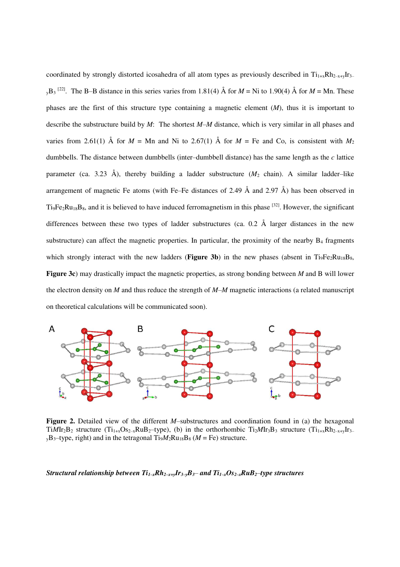coordinated by strongly distorted icosahedra of all atom types as previously described in  $Ti_{1+x}Rh_{2-x+v}Ir_{3-x}$  $_{y}B_{3}$ <sup>[22]</sup>. The B–B distance in this series varies from 1.81(4) Å for *M* = Ni to 1.90(4) Å for *M* = Mn. These phases are the first of this structure type containing a magnetic element (*M*), thus it is important to describe the substructure build by *M*: The shortest *M–M* distance, which is very similar in all phases and varies from 2.61(1) Å for  $M = Mn$  and Ni to 2.67(1) Å for  $M = \text{Fe}$  and Co, is consistent with  $M_2$ dumbbells. The distance between dumbbells (inter-dumbbell distance) has the same length as the *c* lattice parameter (ca. 3.23 Å), thereby building a ladder substructure  $(M_2 \text{ chain})$ . A similar ladder-like arrangement of magnetic Fe atoms (with Fe–Fe distances of 2.49  $\AA$  and 2.97  $\AA$ ) has been observed in  $Ti<sub>9</sub>Fe<sub>2</sub>Ru<sub>18</sub>B<sub>8</sub>$ , and it is believed to have induced ferromagnetism in this phase  $^{[32]}$ . However, the significant differences between these two types of ladder substructures (ca. 0.2 Å larger distances in the new substructure) can affect the magnetic properties. In particular, the proximity of the nearby  $B_4$  fragments which strongly interact with the new ladders (**Figure 3b**) in the new phases (absent in  $Ti<sub>9</sub>Fe<sub>2</sub>Ru<sub>18</sub>B<sub>8</sub>$ , **Figure 3c**) may drastically impact the magnetic properties, as strong bonding between *M* and B will lower the electron density on  $M$  and thus reduce the strength of  $M-M$  magnetic interactions (a related manuscript on theoretical calculations will be communicated soon).



**Figure 2.** Detailed view of the different *M*—substructures and coordination found in (a) the hexagonal TiMIr<sub>2</sub>B<sub>2</sub> structure (Ti<sub>1+x</sub>Os<sub>2-x</sub>RuB<sub>2</sub>-type), (b) in the orthorhombic Ti<sub>2</sub>MIr<sub>3</sub>B<sub>3</sub> structure (Ti<sub>1+x</sub>Rh<sub>2-x+y</sub>Ir<sub>3</sub>  $_{y}B_{3}$ -type, right) and in the tetragonal Ti<sub>9</sub> $M_{2}Ru_{18}B_{8}$  ( $M = Fe$ ) structure.

#### Structural relationship between  $Ti_{1-x}Rh_{2-x+y}Ir_{3-y}B_3$  and  $Ti_{1-x}Os_{2-x}RuB_2$  type structures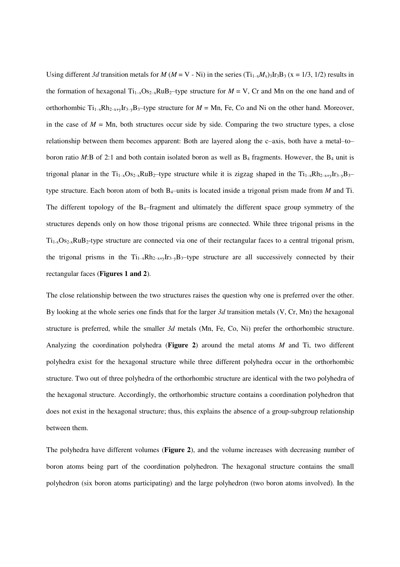Using different 3d transition metals for  $M (M = V - Ni)$  in the series  $(T_{1-x}M_x)_3I_3B_3$  (x = 1/3, 1/2) results in the formation of hexagonal  $Ti_{1-x}Os_{2-x}RuB_2$ —type structure for  $M = V$ , Cr and Mn on the one hand and of orthorhombic  $Ti_{1-x}Rh_{2-x+y}Ir_{3-y}B_3$ -type structure for  $M = Mn$ , Fe, Co and Ni on the other hand. Moreover, in the case of  $M = Mn$ , both structures occur side by side. Comparing the two structure types, a close relationship between them becomes apparent: Both are layered along the c-axis, both have a metal-toboron ratio *M*:B of 2:1 and both contain isolated boron as well as  $B_4$  fragments. However, the  $B_4$  unit is trigonal planar in the  $Ti_{1-x}Os_{2-x}RuB_2$ -type structure while it is zigzag shaped in the  $Ti_{1-x}Rh_{2-x+v}Ir_{3-y}B_3$ type structure. Each boron atom of both B<sub>4</sub>-units is located inside a trigonal prism made from *M* and Ti. The different topology of the  $B_4$ -fragment and ultimately the different space group symmetry of the structures depends only on how those trigonal prisms are connected. While three trigonal prisms in the  $Ti<sub>1-x</sub>Os<sub>2-x</sub>RuB<sub>2</sub>$ -type structure are connected via one of their rectangular faces to a central trigonal prism, the trigonal prisms in the  $Ti_{1-x}Rh_{2-x+y}Ir_{3-y}B_3$ -type structure are all successively connected by their rectangular faces (**Figures 1 and 2**).

The close relationship between the two structures raises the question why one is preferred over the other. By looking at the whole series one finds that for the larger *3d* transition metals (V, Cr, Mn) the hexagonal structure is preferred, while the smaller *3d* metals (Mn, Fe, Co, Ni) prefer the orthorhombic structure. Analyzing the coordination polyhedra (**Figure 2**) around the metal atoms *M* and Ti, two different polyhedra exist for the hexagonal structure while three different polyhedra occur in the orthorhombic structure. Two out of three polyhedra of the orthorhombic structure are identical with the two polyhedra of the hexagonal structure. Accordingly, the orthorhombic structure contains a coordination polyhedron that does not exist in the hexagonal structure; thus, this explains the absence of a group-subgroup relationship between them.

The polyhedra have different volumes (**Figure 2**), and the volume increases with decreasing number of boron atoms being part of the coordination polyhedron. The hexagonal structure contains the small polyhedron (six boron atoms participating) and the large polyhedron (two boron atoms involved). In the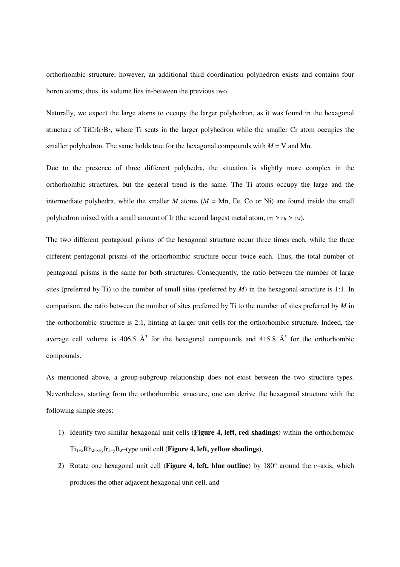orthorhombic structure, however, an additional third coordination polyhedron exists and contains four boron atoms; thus, its volume lies in-between the previous two.

Naturally, we expect the large atoms to occupy the larger polyhedron, as it was found in the hexagonal structure of TiCrIr<sub>2</sub>B<sub>2</sub>, where Ti seats in the larger polyhedron while the smaller Cr atom occupies the smaller polyhedron. The same holds true for the hexagonal compounds with  $M = V$  and Mn.

Due to the presence of three different polyhedra, the situation is slightly more complex in the orthorhombic structures, but the general trend is the same. The Ti atoms occupy the large and the intermediate polyhedra, while the smaller *M* atoms  $(M = Mn, Fe, Co or Ni)$  are found inside the small polyhedron mixed with a small amount of Ir (the second largest metal atom,  $r_{\text{Ti}} > r_{\text{Ir}} > r_M$ ).

The two different pentagonal prisms of the hexagonal structure occur three times each, while the three different pentagonal prisms of the orthorhombic structure occur twice each. Thus, the total number of pentagonal prisms is the same for both structures. Consequently, the ratio between the number of large sites (preferred by Ti) to the number of small sites (preferred by *M*) in the hexagonal structure is 1:1. In comparison, the ratio between the number of sites preferred by Ti to the number of sites preferred by *M* in the orthorhombic structure is 2:1, hinting at larger unit cells for the orthorhombic structure. Indeed, the average cell volume is 406.5  $\AA$ <sup>3</sup> for the hexagonal compounds and 415.8  $\AA$ <sup>3</sup> for the orthorhombic compounds.

As mentioned above, a group-subgroup relationship does not exist between the two structure types. Nevertheless, starting from the orthorhombic structure, one can derive the hexagonal structure with the following simple steps:

- 1) Identify two similar hexagonal unit cells (**Figure 4, left, red shadings**) within the orthorhombic  $Ti_{1+x}Rh_{2-x+y}Ir_{3-y}B_3$ -type unit cell (**Figure 4, left, yellow shadings**),
- 2) Rotate one hexagonal unit cell (**Figure 4, left, blue outline**) by  $180^\circ$  around the *c*-axis, which produces the other adjacent hexagonal unit cell, and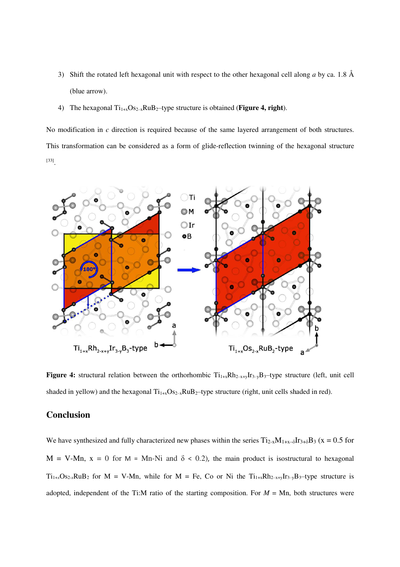- 3) Shift the rotated left hexagonal unit with respect to the other hexagonal cell along *a* by ca. 1.8 Å (blue arrow).
- 4) The hexagonal  $Ti_{1+x}Os_{2-x}RuB_2$ -type structure is obtained (**Figure 4, right**).

No modification in *c* direction is required because of the same layered arrangement of both structures. This transformation can be considered as a form of glide-reflection twinning of the hexagonal structure [33] .



**Figure 4:** structural relation between the orthorhombic  $Ti_{1+x}Rh_{2-x+y}Ir_{3-y}B_3$ -type structure (left, unit cell shaded in yellow) and the hexagonal  $Ti_{1+x}Os_{2-x}RuB_2$ —type structure (right, unit cells shaded in red).

### **Conclusion**

We have synthesized and fully characterized new phases within the series  $T_{12-x}M_{1+x-\delta}Ir_{3+\delta}B_3$  (x = 0.5 for M = V-Mn,  $x = 0$  for M = Mn-Ni and  $\delta < 0.2$ ), the main product is isostructural to hexagonal  $Ti_{1+x}Os_{2-x}RuB_2$  for  $M = V-Mn$ , while for  $M = Fe$ , Co or Ni the  $Ti_{1+x}Rh_{2-x+y}Ir_{3-y}B_3$ -type structure is adopted, independent of the Ti:M ratio of the starting composition. For  $M = Mn$ , both structures were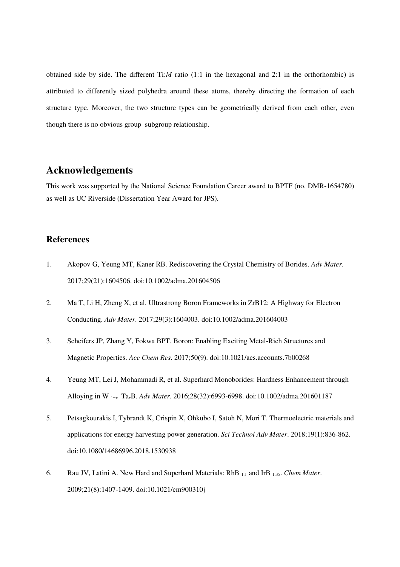obtained side by side. The different  $Ti: M$  ratio (1:1 in the hexagonal and 2:1 in the orthorhombic) is attributed to differently sized polyhedra around these atoms, thereby directing the formation of each structure type. Moreover, the two structure types can be geometrically derived from each other, even though there is no obvious group-subgroup relationship.

# **Acknowledgements**

This work was supported by the National Science Foundation Career award to BPTF (no. DMR-1654780) as well as UC Riverside (Dissertation Year Award for JPS).

### **References**

- 1. Akopov G, Yeung MT, Kaner RB. Rediscovering the Crystal Chemistry of Borides. *Adv Mater*. 2017;29(21):1604506. doi:10.1002/adma.201604506
- 2. Ma T, Li H, Zheng X, et al. Ultrastrong Boron Frameworks in ZrB12: A Highway for Electron Conducting. *Adv Mater*. 2017;29(3):1604003. doi:10.1002/adma.201604003
- 3. Scheifers JP, Zhang Y, Fokwa BPT. Boron: Enabling Exciting Metal-Rich Structures and Magnetic Properties. *Acc Chem Res*. 2017;50(9). doi:10.1021/acs.accounts.7b00268
- 4. Yeung MT, Lei J, Mohammadi R, et al. Superhard Monoborides: Hardness Enhancement through Alloying in W 1−*x* Ta*x*B. *Adv Mater*. 2016;28(32):6993-6998. doi:10.1002/adma.201601187
- 5. Petsagkourakis I, Tybrandt K, Crispin X, Ohkubo I, Satoh N, Mori T. Thermoelectric materials and applications for energy harvesting power generation. *Sci Technol Adv Mater*. 2018;19(1):836-862. doi:10.1080/14686996.2018.1530938
- 6. Rau JV, Latini A. New Hard and Superhard Materials: RhB 1.1 and IrB 1.35. *Chem Mater*. 2009;21(8):1407-1409. doi:10.1021/cm900310j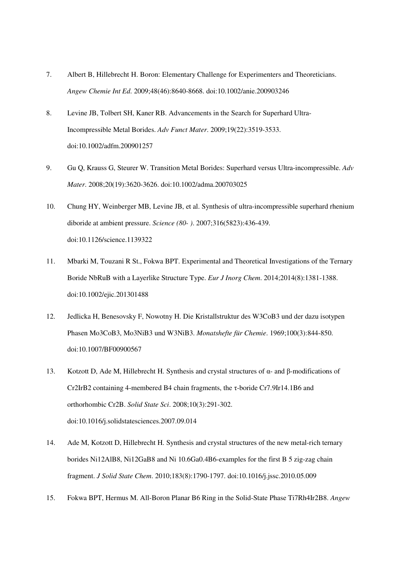- 7. Albert B, Hillebrecht H. Boron: Elementary Challenge for Experimenters and Theoreticians. *Angew Chemie Int Ed*. 2009;48(46):8640-8668. doi:10.1002/anie.200903246
- 8. Levine JB, Tolbert SH, Kaner RB. Advancements in the Search for Superhard Ultra-Incompressible Metal Borides. *Adv Funct Mater*. 2009;19(22):3519-3533. doi:10.1002/adfm.200901257
- 9. Gu Q, Krauss G, Steurer W. Transition Metal Borides: Superhard versus Ultra-incompressible. *Adv Mater*. 2008;20(19):3620-3626. doi:10.1002/adma.200703025
- 10. Chung HY, Weinberger MB, Levine JB, et al. Synthesis of ultra-incompressible superhard rhenium diboride at ambient pressure. *Science (80- )*. 2007;316(5823):436-439. doi:10.1126/science.1139322
- 11. Mbarki M, Touzani R St., Fokwa BPT. Experimental and Theoretical Investigations of the Ternary Boride NbRuB with a Layerlike Structure Type. *Eur J Inorg Chem*. 2014;2014(8):1381-1388. doi:10.1002/ejic.201301488
- 12. Jedlicka H, Benesovsky F, Nowotny H. Die Kristallstruktur des W3CoB3 und der dazu isotypen Phasen Mo3CoB3, Mo3NiB3 und W3NiB3. *Monatshefte für Chemie*. 1969;100(3):844-850. doi:10.1007/BF00900567
- 13. Kotzott D, Ade M, Hillebrecht H. Synthesis and crystal structures of α- and β-modifications of Cr2IrB2 containing 4-membered B4 chain fragments, the τ-boride Cr7.9Ir14.1B6 and orthorhombic Cr2B. *Solid State Sci*. 2008;10(3):291-302. doi:10.1016/j.solidstatesciences.2007.09.014
- 14. Ade M, Kotzott D, Hillebrecht H. Synthesis and crystal structures of the new metal-rich ternary borides Ni12AlB8, Ni12GaB8 and Ni 10.6Ga0.4B6-examples for the first B 5 zig-zag chain fragment. *J Solid State Chem*. 2010;183(8):1790-1797. doi:10.1016/j.jssc.2010.05.009
- 15. Fokwa BPT, Hermus M. All-Boron Planar B6 Ring in the Solid-State Phase Ti7Rh4Ir2B8. *Angew*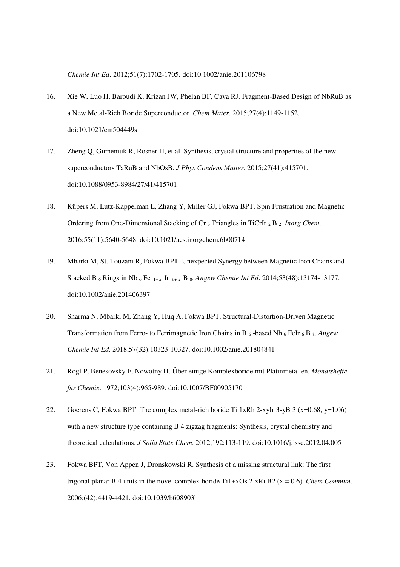*Chemie Int Ed*. 2012;51(7):1702-1705. doi:10.1002/anie.201106798

- 16. Xie W, Luo H, Baroudi K, Krizan JW, Phelan BF, Cava RJ. Fragment-Based Design of NbRuB as a New Metal-Rich Boride Superconductor. *Chem Mater*. 2015;27(4):1149-1152. doi:10.1021/cm504449s
- 17. Zheng Q, Gumeniuk R, Rosner H, et al. Synthesis, crystal structure and properties of the new superconductors TaRuB and NbOsB. *J Phys Condens Matter*. 2015;27(41):415701. doi:10.1088/0953-8984/27/41/415701
- 18. Küpers M, Lutz-Kappelman L, Zhang Y, Miller GJ, Fokwa BPT. Spin Frustration and Magnetic Ordering from One-Dimensional Stacking of Cr 3 Triangles in TiCrIr 2 B 2. *Inorg Chem*. 2016;55(11):5640-5648. doi:10.1021/acs.inorgchem.6b00714
- 19. Mbarki M, St. Touzani R, Fokwa BPT. Unexpected Synergy between Magnetic Iron Chains and Stacked B 6 Rings in Nb 6 Fe 1− *x* Ir 6+ *x* B 8. *Angew Chemie Int Ed*. 2014;53(48):13174-13177. doi:10.1002/anie.201406397
- 20. Sharma N, Mbarki M, Zhang Y, Huq A, Fokwa BPT. Structural-Distortion-Driven Magnetic Transformation from Ferro- to Ferrimagnetic Iron Chains in B 6 -based Nb 6 FeIr 6 B 8. *Angew Chemie Int Ed*. 2018;57(32):10323-10327. doi:10.1002/anie.201804841
- 21. Rogl P, Benesovsky F, Nowotny H. Über einige Komplexboride mit Platinmetallen. *Monatshefte für Chemie*. 1972;103(4):965-989. doi:10.1007/BF00905170
- 22. Goerens C, Fokwa BPT. The complex metal-rich boride Ti 1xRh 2-xyIr 3-yB 3 ( $x=0.68$ ,  $y=1.06$ ) with a new structure type containing B 4 zigzag fragments: Synthesis, crystal chemistry and theoretical calculations. *J Solid State Chem*. 2012;192:113-119. doi:10.1016/j.jssc.2012.04.005
- 23. Fokwa BPT, Von Appen J, Dronskowski R. Synthesis of a missing structural link: The first trigonal planar B 4 units in the novel complex boride Ti1+xOs 2-xRuB2 (x = 0.6). *Chem Commun*. 2006;(42):4419-4421. doi:10.1039/b608903h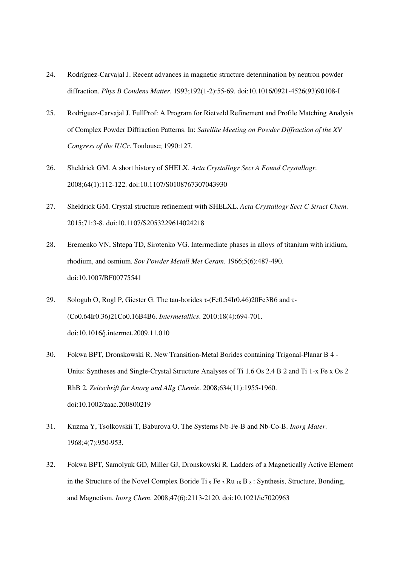- 24. Rodríguez-Carvajal J. Recent advances in magnetic structure determination by neutron powder diffraction. *Phys B Condens Matter*. 1993;192(1-2):55-69. doi:10.1016/0921-4526(93)90108-I
- 25. Rodriguez-Carvajal J. FullProf: A Program for Rietveld Refinement and Profile Matching Analysis of Complex Powder Diffraction Patterns. In: *Satellite Meeting on Powder Diffraction of the XV Congress of the IUCr*. Toulouse; 1990:127.
- 26. Sheldrick GM. A short history of SHELX. *Acta Crystallogr Sect A Found Crystallogr*. 2008;64(1):112-122. doi:10.1107/S0108767307043930
- 27. Sheldrick GM. Crystal structure refinement with SHELXL. *Acta Crystallogr Sect C Struct Chem*. 2015;71:3-8. doi:10.1107/S2053229614024218
- 28. Eremenko VN, Shtepa TD, Sirotenko VG. Intermediate phases in alloys of titanium with iridium, rhodium, and osmium. *Sov Powder Metall Met Ceram*. 1966;5(6):487-490. doi:10.1007/BF00775541
- 29. Sologub O, Rogl P, Giester G. The tau-borides τ-(Fe0.54Ir0.46)20Fe3B6 and τ- (Co0.64Ir0.36)21Co0.16B4B6. *Intermetallics*. 2010;18(4):694-701. doi:10.1016/j.intermet.2009.11.010
- 30. Fokwa BPT, Dronskowski R. New Transition-Metal Borides containing Trigonal-Planar B 4 Units: Syntheses and Single-Crystal Structure Analyses of Ti 1.6 Os 2.4 B 2 and Ti 1-x Fe x Os 2 RhB 2. *Zeitschrift für Anorg und Allg Chemie*. 2008;634(11):1955-1960. doi:10.1002/zaac.200800219
- 31. Kuzma Y, Tsolkovskii T, Baburova O. The Systems Nb-Fe-B and Nb-Co-B. *Inorg Mater*. 1968;4(7):950-953.
- 32. Fokwa BPT, Samolyuk GD, Miller GJ, Dronskowski R. Ladders of a Magnetically Active Element in the Structure of the Novel Complex Boride Ti  $_9$  Fe  $_2$  Ru  $_{18}$  B  $_8$ : Synthesis, Structure, Bonding, and Magnetism. *Inorg Chem*. 2008;47(6):2113-2120. doi:10.1021/ic7020963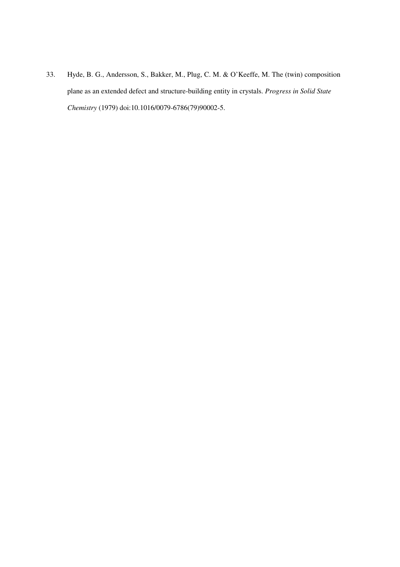33. Hyde, B. G., Andersson, S., Bakker, M., Plug, C. M. & O'Keeffe, M. The (twin) composition plane as an extended defect and structure-building entity in crystals. *Progress in Solid State Chemistry* (1979) doi:10.1016/0079-6786(79)90002-5.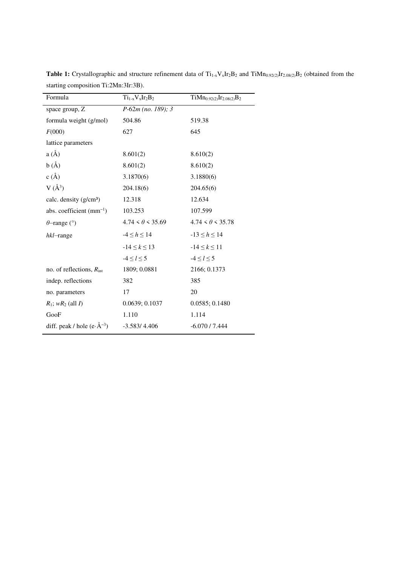| Formula                                   | $Ti_{1-x}V_xIr_2B_2$    | $TiMn_{0.92(2)}Ir_{2.08(2)}B_2$ |
|-------------------------------------------|-------------------------|---------------------------------|
| space group, Z                            | $P-62m$ (no. 189); 3    |                                 |
| formula weight (g/mol)                    | 504.86                  | 519.38                          |
| F(000)                                    | 627                     | 645                             |
| lattice parameters                        |                         |                                 |
| $a(\AA)$                                  | 8.601(2)                | 8.610(2)                        |
| b(A)                                      | 8.601(2)                | 8.610(2)                        |
| c(A)                                      | 3.1870(6)               | 3.1880(6)                       |
| $V(\AA^3)$                                | 204.18(6)               | 204.65(6)                       |
| calc. density (g/cm <sup>3</sup> )        | 12.318                  | 12.634                          |
| abs. coefficient $(mm^{-1})$              | 103.253                 | 107.599                         |
| $\theta$ -range (°)                       | $4.74 < \theta < 35.69$ | $4.74 < \theta < 35.78$         |
| $hkl$ -range                              | $-4 \leq h \leq 14$     | $-13 \leq h \leq 14$            |
|                                           | $-14 \le k \le 13$      | $-14 \le k \le 11$              |
|                                           | $-4 \le l \le 5$        | $-4 \le l \le 5$                |
| no. of reflections, $R_{\text{int}}$      | 1809; 0.0881            | 2166; 0.1373                    |
| indep. reflections                        | 382                     | 385                             |
| no. parameters                            | 17                      | 20                              |
| $R_1$ ; w $R_2$ (all I)                   | 0.0639; 0.1037          | 0.0585; 0.1480                  |
| GooF                                      | 1.110                   | 1.114                           |
| diff. peak / hole (e $\cdot$ $\AA^{-3}$ ) | $-3.583/4.406$          | $-6.070/7.444$                  |

**Table 1:** Crystallographic and structure refinement data of  $Ti_{1-x}V_xIr_2B_2$  and  $TiMn_{0.92(2)}Ir_{2.08(2)}B_2$  (obtained from the starting composition Ti:2Mn:3Ir:3B).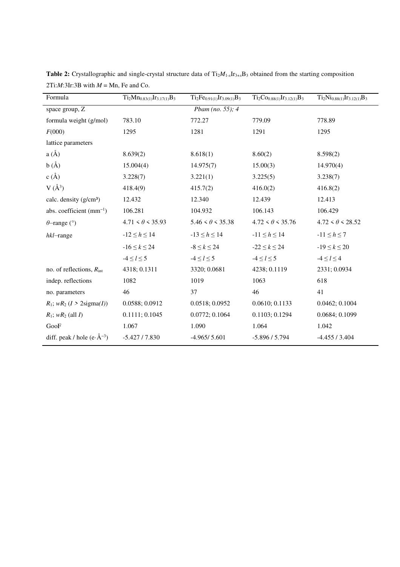| Formula                                       | $Ti2Mn0.83(1)Ir3.17(1)B3$ | $Ti2Fe0.91(1)Ir3.09(1)B3$ | $Ti_2Co_{0.88(1)}Ir_{3.12(1)}B_3$ | $Ti2Ni0.88(1)Ir3.12(1)B3$ |
|-----------------------------------------------|---------------------------|---------------------------|-----------------------------------|---------------------------|
| space group, Z                                |                           | Pbam (no. 55); $4$        |                                   |                           |
| formula weight (g/mol)                        | 783.10                    | 772.27                    | 779.09                            | 778.89                    |
| F(000)                                        | 1295                      | 1281                      | 1291                              | 1295                      |
| lattice parameters                            |                           |                           |                                   |                           |
| $a(\AA)$                                      | 8.639(2)                  | 8.618(1)                  | 8.60(2)                           | 8.598(2)                  |
| b(A)                                          | 15.004(4)                 | 14.975(7)                 | 15.00(3)                          | 14.970(4)                 |
| c(A)                                          | 3.228(7)                  | 3.221(1)                  | 3.225(5)                          | 3.238(7)                  |
| $V(\AA^3)$                                    | 418.4(9)                  | 415.7(2)                  | 416.0(2)                          | 416.8(2)                  |
| calc. density (g/cm <sup>3</sup> )            | 12.432                    | 12.340                    | 12.439                            | 12.413                    |
| abs. coefficient $(mm^{-1})$                  | 106.281                   | 104.932                   | 106.143                           | 106.429                   |
| $\theta$ -range (°)                           | $4.71 < \theta < 35.93$   | $5.46 < \theta < 35.38$   | $4.72 < \theta < 35.76$           | $4.72 < \theta < 28.52$   |
| $hkl$ -range                                  | $-12 \leq h \leq 14$      | $-13 \leq h \leq 14$      | $-11 \le h \le 14$                | $-11 \leq h \leq 7$       |
|                                               | $-16 \le k \le 24$        | $-8 \leq k \leq 24$       | $-22 \le k \le 24$                | $-19 \le k \le 20$        |
|                                               | $-4 \le l \le 5$          | $-4 \le l \le 5$          | $-4 \le l \le 5$                  | $-4 \leq l \leq 4$        |
| no. of reflections, $R_{\text{int}}$          | 4318; 0.1311              | 3320; 0.0681              | 4238; 0.1119                      | 2331; 0.0934              |
| indep. reflections                            | 1082                      | 1019                      | 1063                              | 618                       |
| no. parameters                                | 46                        | 37                        | 46                                | 41                        |
| $R_1$ ; $wR_2$ ( $I > 2$ sigma(I))            | 0.0588; 0.0912            | 0.0518; 0.0952            | 0.0610; 0.1133                    | 0.0462; 0.1004            |
| $R_1$ ; $wR_2$ (all I)                        | 0.1111; 0.1045            | 0.0772; 0.1064            | 0.1103; 0.1294                    | 0.0684; 0.1099            |
| GooF                                          | 1.067                     | 1.090                     | 1.064                             | 1.042                     |
| diff. peak / hole (e $\cdot$ $\rm \AA^{-3}$ ) | $-5.427/7.830$            | $-4.965/5.601$            | $-5.896 / 5.794$                  | $-4.455/3.404$            |

**Table 2:** Crystallographic and single-crystal structure data of  $Ti_2M_1$ <sub>*x*</sub>Ir<sub>3+*x*</sub>B<sub>3</sub> obtained from the starting composition 2Ti: $M$ :3Ir:3B with  $M = Mn$ , Fe and Co.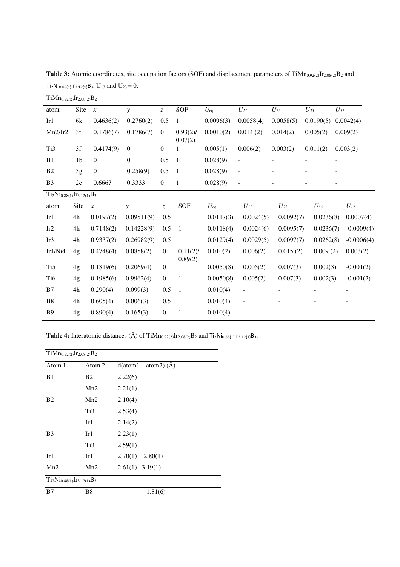| $TiMn_{0.92(2)}Ir_{2.08(2)}B_2$ |                |                  |                  |                  |                        |                 |                          |                   |                          |                |
|---------------------------------|----------------|------------------|------------------|------------------|------------------------|-----------------|--------------------------|-------------------|--------------------------|----------------|
| atom                            | Site           | $\boldsymbol{x}$ | $\mathcal{Y}$    | $\bar{z}$        | SOF                    | $U_{\rm eq}$    | $U_{II}$                 | $U_{22}$          | $U_{33}$                 | $U_{I2}$       |
| Ir1                             | 6k             | 0.4636(2)        | 0.2760(2)        | 0.5              | 1                      | 0.0096(3)       | 0.0058(4)                | 0.0058(5)         | 0.0190(5)                | 0.0042(4)      |
| Mn2/Ir2                         | 3f             | 0.1786(7)        | 0.1786(7)        | $\overline{0}$   | $0.93(2)$ /<br>0.07(2) | 0.0010(2)       | 0.014(2)                 | 0.014(2)          | 0.005(2)                 | 0.009(2)       |
| Ti3                             | 3f             | 0.4174(9)        | $\boldsymbol{0}$ | $\mathbf{0}$     | $\mathbf{1}$           | 0.005(1)        | 0.006(2)                 | 0.003(2)          | 0.011(2)                 | 0.003(2)       |
| B1                              | 1 <sub>b</sub> | $\theta$         | $\theta$         | 0.5              | $\mathbf{1}$           | 0.028(9)        | $\frac{1}{2}$            |                   |                          |                |
| B <sub>2</sub>                  | 3g             | $\boldsymbol{0}$ | 0.258(9)         | 0.5              | $\mathbf{1}$           | 0.028(9)        | $\Box$                   |                   |                          |                |
| B <sub>3</sub>                  | 2c             | 0.6667           | 0.3333           | $\mathbf{0}$     | $\mathbf{1}$           | 0.028(9)        | $\frac{1}{2}$            |                   |                          |                |
| $Ti2Ni0.88(1)Ir3.12(1)B3$       |                |                  |                  |                  |                        |                 |                          |                   |                          |                |
| atom                            | Site           | $\boldsymbol{x}$ | y                | $\overline{z}$   | SOF                    | $U_{\text{eq}}$ | $U_{II}$                 | $U_{22}$          | $U_{33}$                 | $U_{12}$       |
| Ir1                             | 4h             | 0.0197(2)        | 0.09511(9)       | $0.5\,$          | $\mathbf{1}$           | 0.0117(3)       | 0.0024(5)                | 0.0092(7)         | 0.0236(8)                | 0.0007(4)      |
| Ir2                             | 4h             | 0.7148(2)        | 0.14228(9)       | $0.5\,$          | $\overline{1}$         | 0.0118(4)       | 0.0024(6)                | 0.0095(7)         | 0.0236(7)                | $-0.0009(4)$   |
| Ir3                             | 4h             | 0.9337(2)        | 0.26982(9)       | 0.5              | $\mathbf{1}$           | 0.0129(4)       | 0.0029(5)                | 0.0097(7)         | 0.0262(8)                | $-0.0006(4)$   |
| Ir4/Ni4                         | 4g             | 0.4748(4)        | 0.0858(2)        | $\boldsymbol{0}$ | $0.11(2)$ /<br>0.89(2) | 0.010(2)        | 0.006(2)                 | 0.015(2)          | 0.009(2)                 | 0.003(2)       |
| Ti <sub>5</sub>                 | 4g             | 0.1819(6)        | 0.2069(4)        | $\boldsymbol{0}$ | 1                      | 0.0050(8)       | 0.005(2)                 | 0.007(3)          | 0.002(3)                 | $-0.001(2)$    |
| Ti6                             | 4g             | 0.1985(6)        | 0.9962(4)        | $\boldsymbol{0}$ | 1                      | 0.0050(8)       | 0.005(2)                 | 0.007(3)          | 0.002(3)                 | $-0.001(2)$    |
| B7                              | 4h             | 0.290(4)         | 0.099(3)         | $0.5\,$          | $\mathbf{1}$           | 0.010(4)        | $\frac{1}{2}$            | $\qquad \qquad -$ | $\overline{\phantom{a}}$ | $\overline{a}$ |
| B <sub>8</sub>                  | 4h             | 0.605(4)         | 0.006(3)         | 0.5              | $\mathbf{1}$           | 0.010(4)        | $\overline{\phantom{0}}$ |                   |                          |                |
| <b>B9</b>                       | 4g             | 0.890(4)         | 0.165(3)         | $\boldsymbol{0}$ | $\mathbf{1}$           | 0.010(4)        |                          |                   |                          |                |

Table 3: Atomic coordinates, site occupation factors (SOF) and displacement parameters of TiMn<sub>0.92(2)</sub>Ir<sub>2.08(2)</sub>B<sub>2</sub> and  $Ti<sub>2</sub>Ni<sub>0.88(1)</sub>Ir<sub>3.12(1)</sub>B<sub>3</sub>. U<sub>13</sub> and U<sub>23</sub> = 0.$ 

**Table 4:** Interatomic distances (Å) of  $TiMn_{0.92(2)}Ir_{2.08(2)}B_2$  and  $Ti_2Ni_{0.88(1)}Ir_{3.12(1)}B_3$ .

| $TiMn_{0.92(2)}Ir_{2.08(2)}B_2$ |                 |                                      |
|---------------------------------|-----------------|--------------------------------------|
| Atom 1                          | Atom 2          | $d(\text{atom1} - \text{atom2})$ (A) |
| B1                              | B <sub>2</sub>  | 2.22(6)                              |
|                                 | Mn2             | 2.21(1)                              |
| B <sub>2</sub>                  | Mn2             | 2.10(4)                              |
|                                 | Ti3             | 2.53(4)                              |
|                                 | Ir1             | 2.14(2)                              |
| B <sub>3</sub>                  | Ir1             | 2.23(1)                              |
|                                 | Ti <sub>3</sub> | 2.59(1)                              |
| Ir1                             | Ir1             | $2.70(1) - 2.80(1)$                  |
| Mn2                             | Mn2             | $2.61(1) - 3.19(1)$                  |
| $Ti2Ni0.88(1)Ir3.12(1)B3$       |                 |                                      |
| B7                              | B8              | 1.81(6)                              |